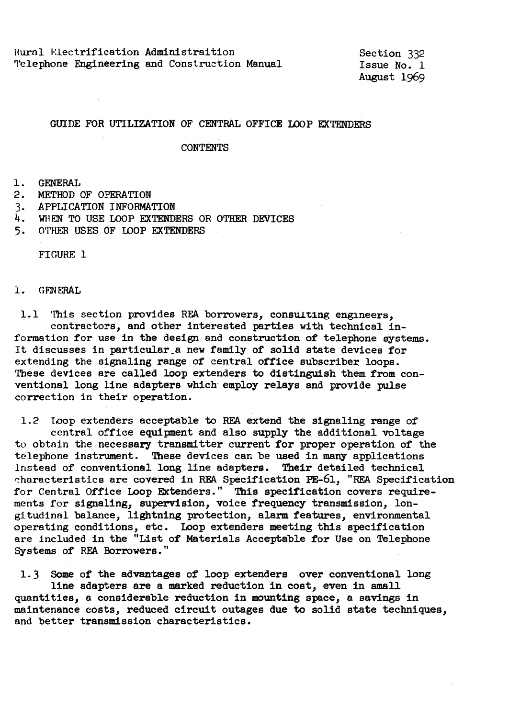Rural Electrification Administraition 'l'elephone **Engineering** and Construction Manual

Section 332 Issue No. 1 August 1969

### GUIDE FOR UTILIZATION OF CENTRAL OFFICE LOOP EXTENDERS

### **CONTENTS**

### 1. GENERAL

- 2. METHOD OF OPERATION
- 3. APPLICATION INFORMATION
- 4. WHEN TO USE LOOP EXTENDERS OR OTHER DEVICES
- 5. OTHER USES OF LOOP EXTENDERS

FIGURE 1

#### 1. GF.NERAL

1.1 'This section provides REA borrowers, consulting engineers, contractors, and other interested parties with technical information for use in the design and construction of telephone systems. It discusses in particular\_a new family of solid state devices for extending the signaling range of central office subscriber loops. These devices are called loop extenders to distinguish them from conventional long line adapters which employ relays and provide pulse correction in their operation.

1.2 Toop extenders acceptable to REA extend the signaling range of central office equipment and also supply the additional voltage to obtnin the necessary transmitter current for proper operation of the telephone instrument. These devices can be used in many applications lnstead of conventional long line adapters. Their detailed technical characteristics are covered in REA Specification PE-61, "REA Specification for Central Office Loop Extenders." This specification covers requirements for signaling, supervision, voice frequency transmission, longitudinal balance, lightning protection, alarm features, environmental operating conditions, etc. Loop extenders meeting this specification are included in the "List of Materials Acceptable for Use on Telephone Systems of REA Borrowers."

1.3 Some of the advantages of loop extenders over conventional long line adapters are a marked reduction in cost, even in small quantities, a considerable reduction in mounting space, a savings in maintenance costs, reduced circuit outages due to solid state techniques, and better transmission characteristics.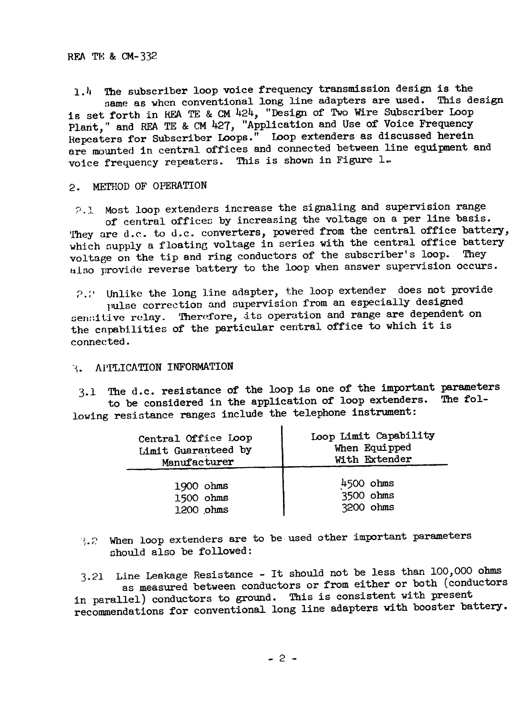1.4 The subscriber loop voice frequency transmission design is the<br>care as when conventional long line adapters are used. This design same as when conventional long line adapters are used. is set forth in HEA TE & CM 424, "Design of Two Wire Subscriber Loop Plant," and REA TE & CM 427, "Application and Use of Voice Frequency Hepeaters for Subscriber Loops." Loop extenders as discussed herein are mounted in central offices and connected between line equipment and voice frequency repeaters. This is shown in Figure 1..

# 2. METHOD OF OPERATION

?.J. Most loop extenders increase the signaling and supervision range of central offices by increasing the voltage on a per line basis. They are d.c. to d.c. converters, powered from the central office battery, which supply a floating voltage in series with the central office battery voltage on the tip and ring conductors of the subscriber's loop. also provide reverse battery to the loop when answer supervision occurs.

~).:., Unlike the long line adapter, the loop extender does not provide pulse correction and supervision from an especially designed sen:itive relay. Therefore, its operation and range are dependent on the cnpabilities of the particular central office to which it is connected.

## ·-;. Al'I'LICATION INFORMATION

3.1 The d.c. resistance of the loop is one of the important parameters<br>to be considered in the application of loop extenders. The folto be considered in the application of loop extenders. lowing resistance ranges include the telephone instrument:

| Central Office Loop | Loop Limit Capability |
|---------------------|-----------------------|
| Limit Guaranteed by | When Equipped         |
| Manufacturer        | With Extender         |
| 1900 ohms           | 4500 ohms             |
| 1500 ohms           | 3500 ohms             |
| 1200 ohms           | 3200 ohms             |

 ${3.2}$  When loop extenders are to be used other important parameters should also be followed:

3.21 Line Leakage Resistance - It should not be less than 100,000 ohms as measured between conductors or from either or both (conductors in parallel) conductors to ground. This is consistent with present recommendations for conventional long line adapters with booster battery.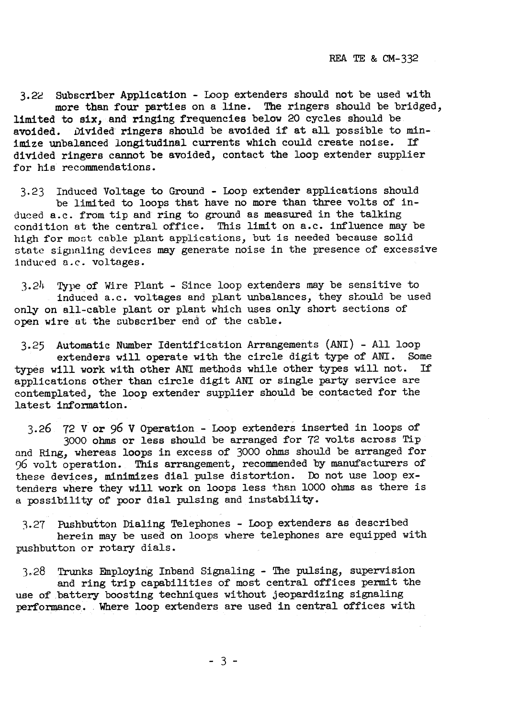3.22 Subscriber Application - Loop extenders should not be used with more than four parties on a line. The ringers should be bridged, limited to **six,** and ringing frequencies below 20 cycles should be avoided. Divided ringers should be avoided if at all possible to minimize unbalanced longitudinal currents which could create noise. If divided ringers cannot be avoided, contact the loop extender supplier for his recommendations.

3.23 Induced Voltage to Ground - Loop extender applications should be limited to loops that have no more than three volts of induced a.c. from tip and ring to ground as measured in the talking condition at the central office. This limit on a.c. influence may be high for most cable plant applications, but is needed because solid state signaling devices may generate noise in the presence of excessive induced a.c. voltages.

3.2h Type of Wire Plant - Since loop extenders may be sensitive to induced a.c. voltages and plant unbalances, they stould be used only on all-cable plant or plant which uses only short sections of open wire at the subscriber end of the cable.

3.25 Automatic Number Identification Arrangements (ANI) - All loop extenders will operate with the circle digit type of ANI. Some<br>will work with other ANT methods while other types will not. If types will work with other ANI methods while other types will not. applications other than circle digit ANI or single party service are contemplated, the loop extender supplier should be contacted for the latest information.

3.26 72 V or 96 V Operation - Loop extenders inserted in loops of 3000 ohms or less should be arranged for 72 volts across Tip and Ring, whereas loops in excess of 3000 ohms should be arranged for 96 volt operation. This arrangement, recommended by manufacturers of these devices, minimizes dial pulse distortion. Do not use loop extenders where they will work on loops less than 1000 ohms as there is a possibility of poor dial pulsing and instability.

3.27 Pushbutton Dialing Telephones - Loop extenders as described herein may be used on loops where telephones are equipped with pushbutton or rotary dials.

3.28 Trunks Employing Inband Signaling - The pulsing, supervision and ring trip capabilities of most central offices permit the use of battery boosting techniques without jeopardizing signaling performance. Where loop extenders are used in central offices with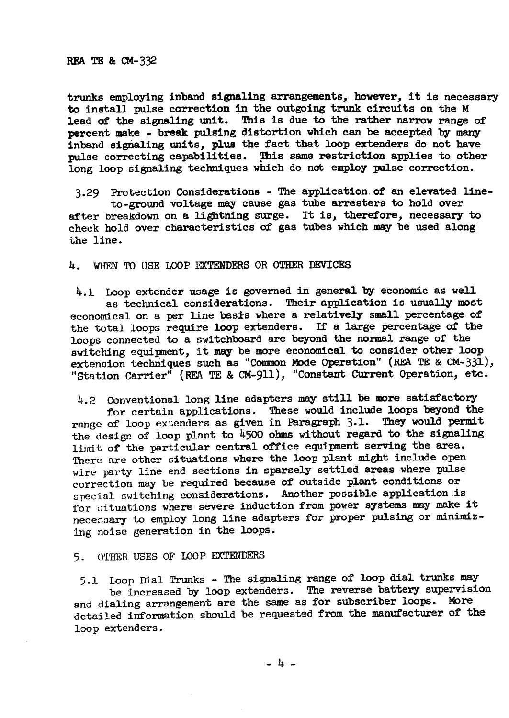## RFA TE & CM-332

trunks employing inband signaling arrangements, however, it is necessary to install pulse correction in the outgoing trunk circuits on the M lead of the signaling unit. This is due to the rather narrow range of percent make - break pulsing distortion which can be accepted by many inband signaling units, plus the fact that loop extenders do not have pulse correcting capabilities. This same restriction applies to other long loop signaling techniques which do not employ pulse correction.

3.29 Protection Considerations - The application.of an elevated lineto-ground voltage may cause gas tube arresters to hold over after breakdown on a lightning surge. It is, therefore, necessary to check hold over characteristics of gas tubes which may be used along the line.

4. WHEN TO USE LOOP EXTENDERS OR OTHER DEVICES

4.1 Loop extender usage is governed in general by economic as well as technical considerations. Their application is usually most economical on a per line basis where a relatively small percentage of the total loops require loop extenders. If a large percentage of the loops connected to a switchboard are beyond the normal range of the switching equipnent, it may be more economical to consider other loop extension techniques such as "Common Mode Operation" (REA TE & CM-331), "Station Carrier" (REA TE & CM-911), "Constant CUrrent Operation, etc.

4.2 Conventional long line adapters may still be more satisfactory for certain applications. These would include loops beyond the range of loop extenders as given in Paragraph 3.1. They would permit the design of loop plant to 4500 ohms without regard to the signaling limit of the particular central office equipment serving the area. Therc are other situations where the loop plant might include open wire party line end sections in sparsely settled areas where pulse correction may be required because of outside plant conditions or special switching considerations. Another possible application is for ::ituations where severe induction from power systems may make it necessary to employ long line adapters for proper pulsing or minimizing noise generation in the loops.

5. OTHER USES OF LOOP EXTENDERS

5.1 Loop Dial Trunks - The signaling range of loop dial trunks may<br>be increased by loop extenders. The reverse battery supervision and dialing arrangement are the same as for subscriber loops. More detailed information should be requested from the manufacturer of the loop extenders.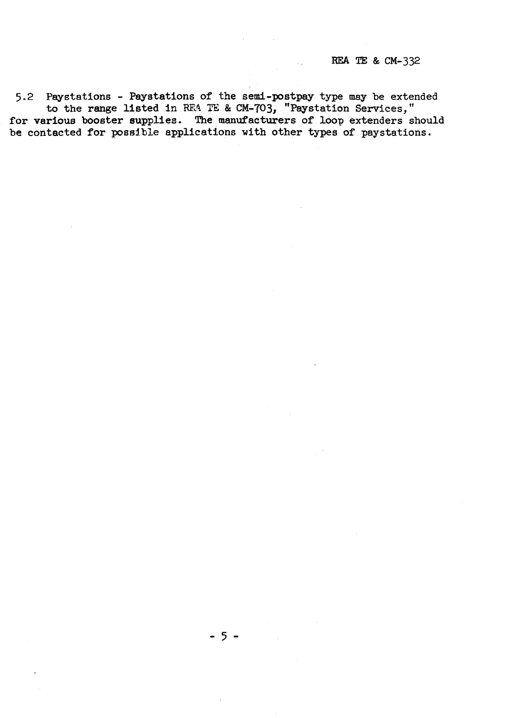5.2 Paystations - Paystations of the semi-postpay type may be extended to the range listed in REA TE & CM-703, "Paystation Services, for various booster supplies. The manufacturers of loop extenders should be contacted for possible applications with other types of paystation